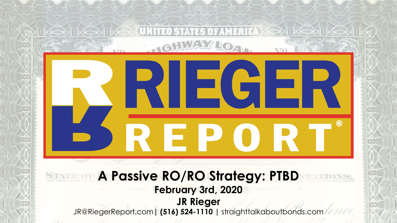# $\blacksquare$  $^{\circledR}$ E P () **A Passive RO/RO Strategy: PTBD February 3rd, 2020 JR Rieger** JR@RiegerReport.com**| (516) 524-1110 |** straighttalkaboutbonds.com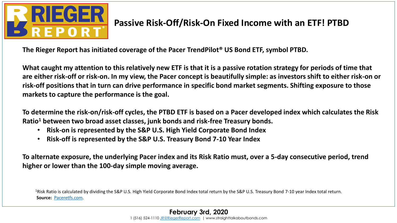

## **Passive Risk-Off/Risk-On Fixed Income with an ETF! PTBD**

**The Rieger Report has initiated coverage of the Pacer TrendPilot® US Bond ETF, symbol PTBD.**

**What caught my attention to this relatively new ETF is that it is a passive rotation strategy for periods of time that are either risk-off or risk-on. In my view, the Pacer concept is beautifully simple: as investors shift to either risk-on or risk-off positions that in turn can drive performance in specific bond market segments. Shifting exposure to those markets to capture the performance is the goal.**

**To determine the risk-on/risk-off cycles, the PTBD ETF is based on a Pacer developed index which calculates the Risk Ratio<sup>1</sup> between two broad asset classes, junk bonds and risk-free Treasury bonds.** 

- **Risk-on is represented by the S&P U.S. High Yield Corporate Bond Index**
- **Risk-off is represented by the S&P U.S. Treasury Bond 7-10 Year Index**

**To alternate exposure, the underlying Pacer index and its Risk Ratio must, over a 5-day consecutive period, trend higher or lower than the 100-day simple moving average.**

<sup>1</sup>Risk Ratio is calculated by dividing the S&P U.S. High Yield Corporate Bond Index total return by the S&P U.S. Treasury Bond 7-10 year Index total return. **Source:** [Paceretfs.com.](http://www.paceretfs.com/)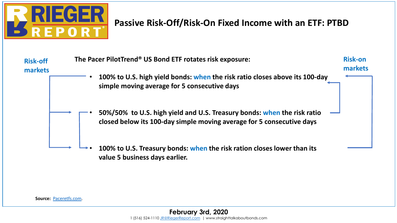

### **Passive Risk-Off/Risk-On Fixed Income with an ETF: PTBD**



**Source:** [Paceretfs.com](http://www.paceretfs.com/).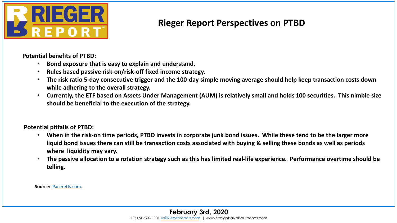

#### **Rieger Report Perspectives on PTBD**

**Potential benefits of PTBD:** 

- **Bond exposure that is easy to explain and understand.**
- **Rules based passive risk-on/risk-off fixed income strategy.**
- **The risk ratio 5-day consecutive trigger and the 100-day simple moving average should help keep transaction costs down while adhering to the overall strategy.**
- **Currently, the ETF based on Assets Under Management (AUM) is relatively small and holds 100 securities. This nimble size should be beneficial to the execution of the strategy.**

**Potential pitfalls of PTBD:**

- **When in the risk-on time periods, PTBD invests in corporate junk bond issues. While these tend to be the larger more liquid bond issues there can still be transaction costs associated with buying & selling these bonds as well as periods where liquidity may vary.**
- **The passive allocation to a rotation strategy such as this has limited real-life experience. Performance overtime should be telling.**

**Source:** [Paceretfs.com.](http://www.paceretfs.com/)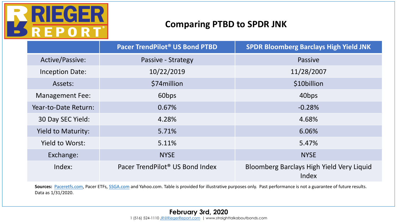

#### **Comparing PTBD to SPDR JNK**

|                           | Pacer TrendPilot® US Bond PTBD              | <b>SPDR Bloomberg Barclays High Yield JNK</b>      |
|---------------------------|---------------------------------------------|----------------------------------------------------|
| Active/Passive:           | Passive - Strategy                          | <b>Passive</b>                                     |
| <b>Inception Date:</b>    | 10/22/2019                                  | 11/28/2007                                         |
| Assets:                   | \$74 million                                | \$10billion                                        |
| <b>Management Fee:</b>    | 60 <sub>bps</sub>                           | 40 <sub>bps</sub>                                  |
| Year-to-Date Return:      | 0.67%                                       | $-0.28%$                                           |
| 30 Day SEC Yield:         | 4.28%                                       | 4.68%                                              |
| <b>Yield to Maturity:</b> | 5.71%                                       | 6.06%                                              |
| Yield to Worst:           | 5.11%                                       | 5.47%                                              |
| Exchange:                 | <b>NYSE</b>                                 | <b>NYSE</b>                                        |
| Index:                    | Pacer TrendPilot <sup>®</sup> US Bond Index | Bloomberg Barclays High Yield Very Liquid<br>Index |

Sources: [Paceretfs.com,](http://www.paceretfs.com/) Pacer ETFs, [SSGA.com](http://www.ssga.com/) and Yahoo.com. Table is provided for illustrative purposes only. Past performance is not a guarantee of future results. Data as 1/31/2020.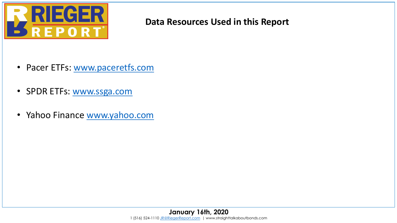

#### **Data Resources Used in this Report**

- Pacer ETFs: [www.paceretfs.com](http://www.paceretfs.com/)
- SPDR ETFs: [www.ssga.com](http://www.ssga.com/)
- Yahoo Finance [www.yahoo.com](http://www.yahoo.com/)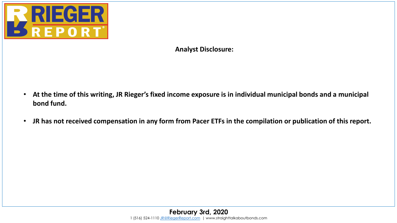

**Analyst Disclosure:**

- **At the time of this writing, JR Rieger's fixed income exposure is in individual municipal bonds and a municipal bond fund.**
- **JR has not received compensation in any form from Pacer ETFs in the compilation or publication of this report.**